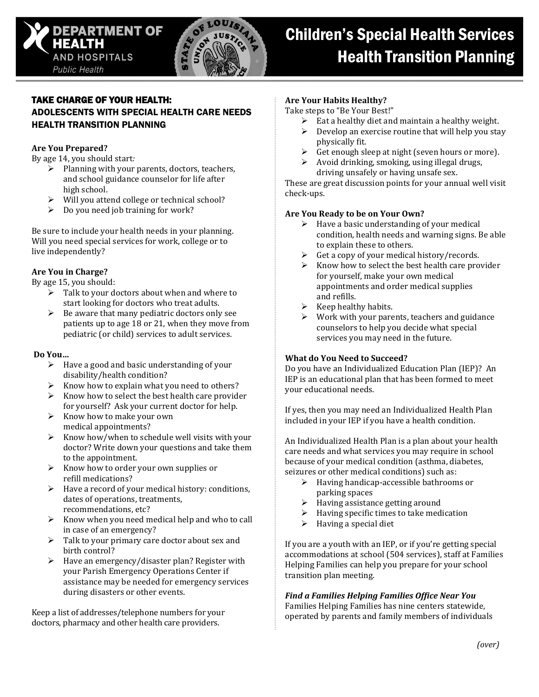



## TAKE CHARGE OF YOUR HEALTH: ADOLESCENTS WITH SPECIAL HEALTH CARE NEEDS HEALTH TRANSITION PLANNING

### **Are You Prepared?**

By age 14, you should start*:*

- $\triangleright$  Planning with your parents, doctors, teachers, and school guidance counselor for life after high school.
- $\triangleright$  Will you attend college or technical school?
- $\triangleright$  Do you need job training for work?

Be sure to include your health needs in your planning. Will you need special services for work, college or to live independently?

### **Are You in Charge?**

By age 15, you should:

- $\triangleright$  Talk to your doctors about when and where to start looking for doctors who treat adults.
- $\triangleright$  Be aware that many pediatric doctors only see patients up to age 18 or 21, when they move from pediatric (or child) services to adult services.

### **Do You…**

- $\triangleright$  Have a good and basic understanding of your disability/health condition?
- Know how to explain what you need to others?
- $\triangleright$  Know how to select the best health care provider for yourself? Ask your current doctor for help.
- $\triangleright$  Know how to make your own medical appointments?
- $\triangleright$  Know how/when to schedule well visits with your doctor? Write down your questions and take them to the appointment.
- $\triangleright$  Know how to order your own supplies or refill medications?
- $\triangleright$  Have a record of your medical history: conditions, dates of operations, treatments, recommendations, etc?
- $\triangleright$  Know when you need medical help and who to call in case of an emergency?
- $\triangleright$  Talk to your primary care doctor about sex and birth control?
- $\triangleright$  Have an emergency/disaster plan? Register with your Parish Emergency Operations Center if assistance may be needed for emergency services during disasters or other events.

Keep a list of addresses/telephone numbers for your doctors, pharmacy and other health care providers.

#### **Are Your Habits Healthy?**

Take steps to "Be Your Best!"

- Eat a healthy diet and maintain a healthy weight.
- $\triangleright$  Develop an exercise routine that will help you stay physically fit.
- $\triangleright$  Get enough sleep at night (seven hours or more).
- $\triangleright$  Avoid drinking, smoking, using illegal drugs, driving unsafely or having unsafe sex.

These are great discussion points for your annual well visit check-ups.

### **Are You Ready to be on Your Own?**

- $\triangleright$  Have a basic understanding of your medical condition, health needs and warning signs. Be able to explain these to others.
- Get a copy of your medical history/records.
- $\triangleright$  Know how to select the best health care provider for yourself, make your own medical appointments and order medical supplies and refills.
- $\triangleright$  Keep healthy habits.
- Work with your parents, teachers and guidance counselors to help you decide what special services you may need in the future.

### **What do You Need to Succeed?**

Do you have an Individualized Education Plan (IEP)? An IEP is an educational plan that has been formed to meet your educational needs.

If yes, then you may need an Individualized Health Plan included in your IEP if you have a health condition.

An Individualized Health Plan is a plan about your health care needs and what services you may require in school because of your medical condition (asthma, diabetes, seizures or other medical conditions) such as:

- Having handicap-accessible bathrooms or parking spaces
- $\triangleright$  Having assistance getting around
- Having specific times to take medication
- $\blacktriangleright$  Having a special diet

If you are a youth with an IEP, or if you're getting special accommodations at school (504 services), staff at Families Helping Families can help you prepare for your school transition plan meeting.

### *Find a Families Helping Families Office Near You*

Families Helping Families has nine centers statewide, operated by parents and family members of individuals